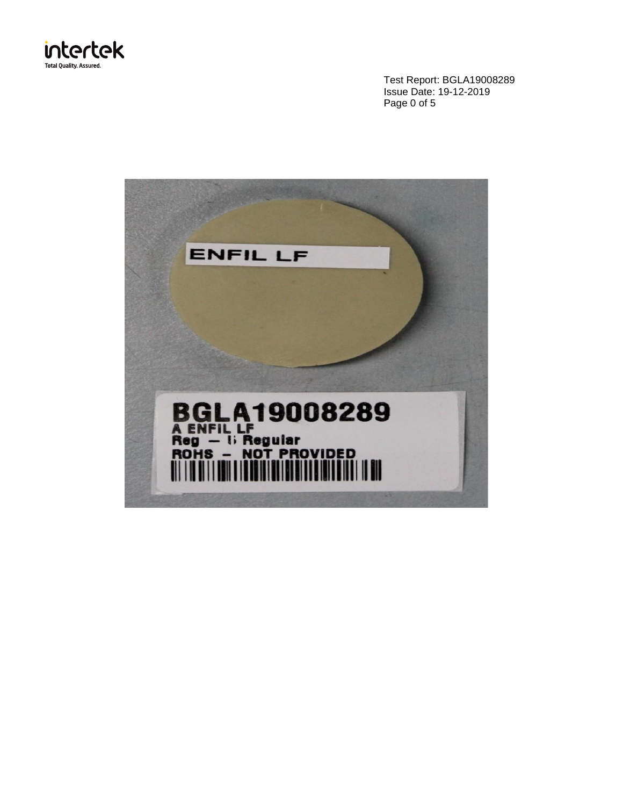

Test Report: BGLA19008289 Issue Date: 19-12-2019 Page 0 of 5

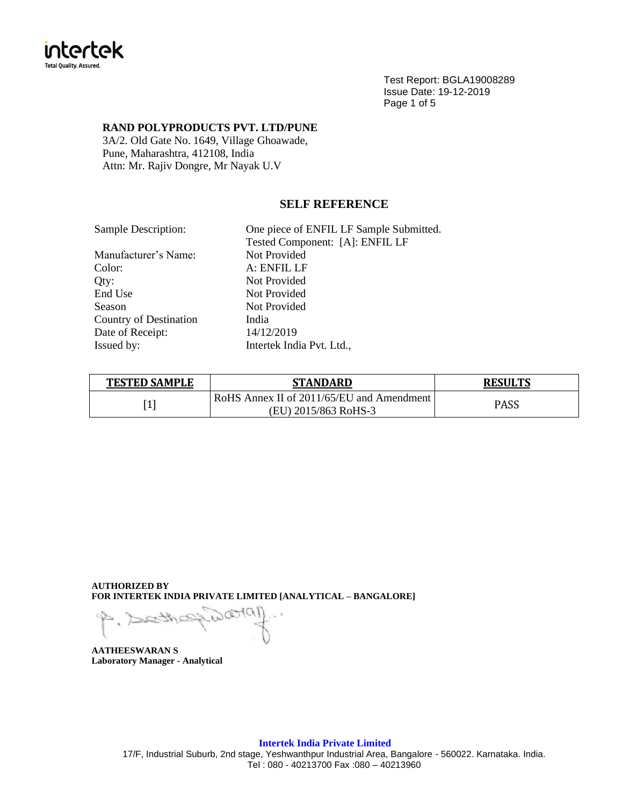

Test Report: BGLA19008289 Issue Date: 19-12-2019 Page 1 of 5

## **RAND POLYPRODUCTS PVT. LTD/PUNE**

3A/2. Old Gate No. 1649, Village Ghoawade, Pune, Maharashtra, 412108, India Attn: Mr. Rajiv Dongre, Mr Nayak U.V

# **SELF REFERENCE**

| Sample Description:    | One piece of ENFIL LF Sample Submitted. |
|------------------------|-----------------------------------------|
|                        | Tested Component: [A]: ENFIL LF         |
| Manufacturer's Name:   | Not Provided                            |
| Color:                 | A: ENFIL LF                             |
| Qty:                   | Not Provided                            |
| End Use                | Not Provided                            |
| <b>Season</b>          | Not Provided                            |
| Country of Destination | India                                   |
| Date of Receipt:       | 14/12/2019                              |
| Issued by:             | Intertek India Pvt. Ltd.,               |
|                        |                                         |

| <b>TESTED SAMPLE</b> | STANDARD                                  | <b>RESULTS</b> |  |
|----------------------|-------------------------------------------|----------------|--|
|                      | RoHS Annex II of 2011/65/EU and Amendment | <b>PASS</b>    |  |
|                      | (EU) 2015/863 RoHS-3                      |                |  |

**AUTHORIZED BY FOR INTERTEK INDIA PRIVATE LIMITED [ANALYTICAL – BANGALORE]**

 $1010$  $\mathbb{R}^3$ 

**AATHEESWARAN S Laboratory Manager - Analytical**

17/F, Industrial Suburb, 2nd stage, Yeshwanthpur Industrial Area, Bangalore - 560022. Karnataka. India. Tel : 080 - 40213700 Fax :080 – 40213960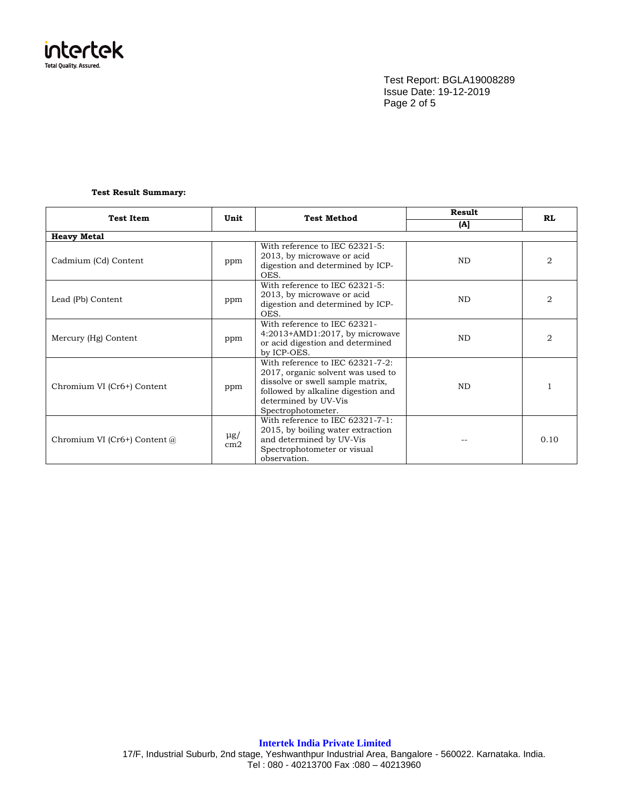

Test Report: BGLA19008289 Issue Date: 19-12-2019 Page 2 of 5

## **Test Result Summary:**

| <b>Test Item</b>             | Unit            | <b>Test Method</b>                                                                                                                                                                            | Result    | <b>RL</b>      |  |
|------------------------------|-----------------|-----------------------------------------------------------------------------------------------------------------------------------------------------------------------------------------------|-----------|----------------|--|
|                              |                 |                                                                                                                                                                                               | (A)       |                |  |
| <b>Heavy Metal</b>           |                 |                                                                                                                                                                                               |           |                |  |
| Cadmium (Cd) Content         | ppm             | With reference to IEC 62321-5:<br>2013, by microwave or acid<br>digestion and determined by ICP-<br>OES.                                                                                      | <b>ND</b> | $\overline{2}$ |  |
| Lead (Pb) Content            | ppm             | With reference to IEC 62321-5:<br>2013, by microwave or acid<br>digestion and determined by ICP-<br>OES.                                                                                      | <b>ND</b> | 2              |  |
| Mercury (Hg) Content         | ppm             | With reference to IEC 62321-<br>4:2013+AMD1:2017, by microwave<br>or acid digestion and determined<br>by ICP-OES.                                                                             | <b>ND</b> | $\overline{2}$ |  |
| Chromium VI (Cr6+) Content   | ppm             | With reference to IEC 62321-7-2:<br>2017, organic solvent was used to<br>dissolve or swell sample matrix,<br>followed by alkaline digestion and<br>determined by UV-Vis<br>Spectrophotometer. | ND        |                |  |
| Chromium VI (Cr6+) Content @ | $\mu$ g/<br>cm2 | With reference to IEC 62321-7-1:<br>2015, by boiling water extraction<br>and determined by UV-Vis<br>Spectrophotometer or visual<br>observation.                                              |           | 0.10           |  |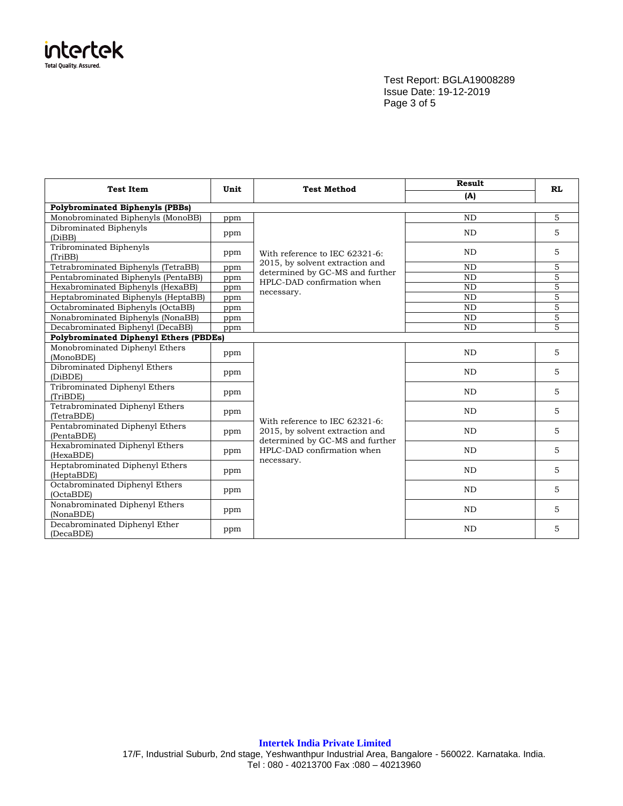

Test Report: BGLA19008289 Issue Date: 19-12-2019 Page 3 of 5

| <b>Test Item</b>                              | Unit | <b>Test Method</b>                                                                                                                               | Result    | <b>RL</b> |  |  |  |
|-----------------------------------------------|------|--------------------------------------------------------------------------------------------------------------------------------------------------|-----------|-----------|--|--|--|
|                                               |      |                                                                                                                                                  | (A)       |           |  |  |  |
| <b>Polybrominated Biphenyls (PBBs)</b>        |      |                                                                                                                                                  |           |           |  |  |  |
| Monobrominated Biphenyls (MonoBB)             | ppm  |                                                                                                                                                  | <b>ND</b> | 5         |  |  |  |
| Dibrominated Biphenyls<br>(DiBB)              | ppm  |                                                                                                                                                  | <b>ND</b> | 5         |  |  |  |
| <b>Tribrominated Biphenyls</b><br>(TriBB)     | ppm  | With reference to IEC 62321-6:<br>2015, by solvent extraction and                                                                                | <b>ND</b> | 5         |  |  |  |
| Tetrabrominated Biphenyls (TetraBB)           | ppm  |                                                                                                                                                  | <b>ND</b> | 5         |  |  |  |
| Pentabrominated Biphenyls (PentaBB)           | ppm  | determined by GC-MS and further<br>HPLC-DAD confirmation when                                                                                    | <b>ND</b> | 5         |  |  |  |
| Hexabrominated Biphenyls (HexaBB)             | ppm  | necessary.                                                                                                                                       | <b>ND</b> | 5         |  |  |  |
| Heptabrominated Biphenyls (HeptaBB)           | ppm  |                                                                                                                                                  | <b>ND</b> | 5         |  |  |  |
| Octabrominated Biphenyls (OctaBB)             | ppm  |                                                                                                                                                  | <b>ND</b> | 5         |  |  |  |
| Nonabrominated Biphenyls (NonaBB)             | ppm  |                                                                                                                                                  | <b>ND</b> | 5         |  |  |  |
| Decabrominated Biphenyl (DecaBB)              | ppm  |                                                                                                                                                  | <b>ND</b> | 5         |  |  |  |
| <b>Polybrominated Diphenyl Ethers (PBDEs)</b> |      |                                                                                                                                                  |           |           |  |  |  |
| Monobrominated Diphenyl Ethers<br>(MonoBDE)   | ppm  |                                                                                                                                                  | <b>ND</b> | 5         |  |  |  |
| Dibrominated Diphenyl Ethers<br>(DiBDE)       | ppm  |                                                                                                                                                  | <b>ND</b> | 5         |  |  |  |
| Tribrominated Diphenyl Ethers<br>(TriBDE)     | ppm  |                                                                                                                                                  | <b>ND</b> | 5         |  |  |  |
| Tetrabrominated Diphenyl Ethers<br>(TetraBDE) | ppm  |                                                                                                                                                  | <b>ND</b> | 5         |  |  |  |
| Pentabrominated Diphenyl Ethers<br>(PentaBDE) | ppm  | With reference to IEC 62321-6:<br>2015, by solvent extraction and<br>determined by GC-MS and further<br>HPLC-DAD confirmation when<br>necessary. | ND        | 5         |  |  |  |
| Hexabrominated Diphenyl Ethers<br>(HexaBDE)   | ppm  |                                                                                                                                                  | <b>ND</b> | 5         |  |  |  |
| Heptabrominated Diphenyl Ethers<br>(HeptaBDE) | ppm  |                                                                                                                                                  | <b>ND</b> | 5         |  |  |  |
| Octabrominated Diphenyl Ethers<br>(OctaBDE)   | ppm  |                                                                                                                                                  | <b>ND</b> | 5         |  |  |  |
| Nonabrominated Diphenyl Ethers<br>(NonaBDE)   | ppm  |                                                                                                                                                  | <b>ND</b> | 5         |  |  |  |
| Decabrominated Diphenyl Ether<br>(DecaBDE)    | ppm  |                                                                                                                                                  | <b>ND</b> | 5         |  |  |  |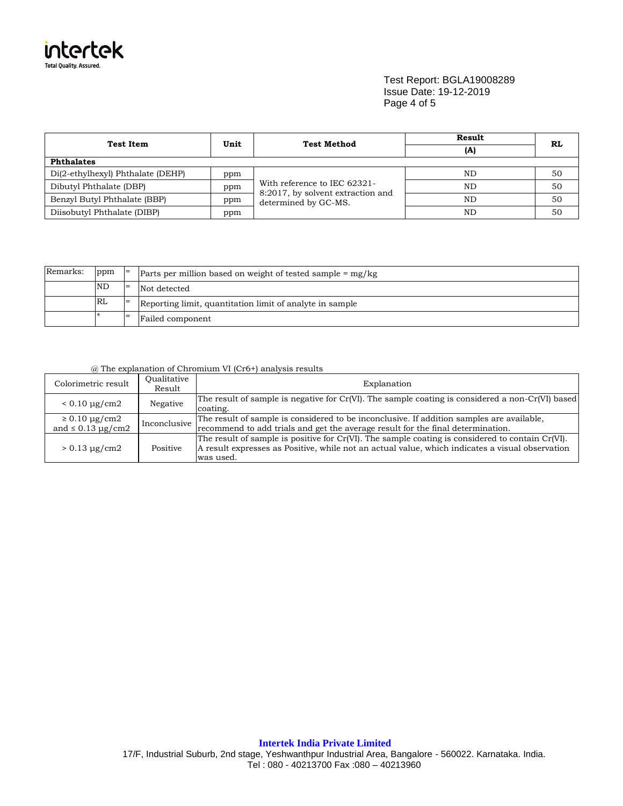

### Test Report: BGLA19008289 Issue Date: 19-12-2019 Page 4 of 5

| <b>Test Item</b>                  | Unit |                                                                                           | Result<br>(A) | RL |  |
|-----------------------------------|------|-------------------------------------------------------------------------------------------|---------------|----|--|
| <b>Phthalates</b>                 |      |                                                                                           |               |    |  |
| Di(2-ethylhexyl) Phthalate (DEHP) | ppm  | With reference to IEC 62321-<br>8:2017, by solvent extraction and<br>determined by GC-MS. | ND            | 50 |  |
| Dibutyl Phthalate (DBP)           | ppm  |                                                                                           | ND            | 50 |  |
| Benzyl Butyl Phthalate (BBP)      | ppm  |                                                                                           | ND            | 50 |  |
| Diisobutyl Phthalate (DIBP)       | ppm  |                                                                                           | ND            | 50 |  |

| Remarks: | ppm       | $\vert$ = | Parts per million based on weight of tested sample $=$ mg/kg |  |
|----------|-----------|-----------|--------------------------------------------------------------|--|
|          | <b>ND</b> | $=$       | Not detected                                                 |  |
|          | RL        |           | Reporting limit, quantitation limit of analyte in sample     |  |
|          |           | $=$       | Failed component                                             |  |

## @ The explanation of Chromium VI (Cr6+) analysis results

| Colorimetric result                                | Oualitative<br>Result | Explanation                                                                                                                                                                                                      |
|----------------------------------------------------|-----------------------|------------------------------------------------------------------------------------------------------------------------------------------------------------------------------------------------------------------|
| $< 0.10 \mu g/cm2$                                 | Negative              | The result of sample is negative for Cr(VI). The sample coating is considered a non-Cr(VI) based<br>coating.                                                                                                     |
| $\geq 0.10 \mu g/cm2$<br>and $\leq 0.13 \mu$ g/cm2 | Inconclusive          | The result of sample is considered to be inconclusive. If addition samples are available,<br>recommend to add trials and get the average result for the final determination.                                     |
| $> 0.13 \mu g/cm2$                                 | Positive              | The result of sample is positive for Cr(VI). The sample coating is considered to contain Cr(VI).<br>A result expresses as Positive, while not an actual value, which indicates a visual observation<br>was used. |